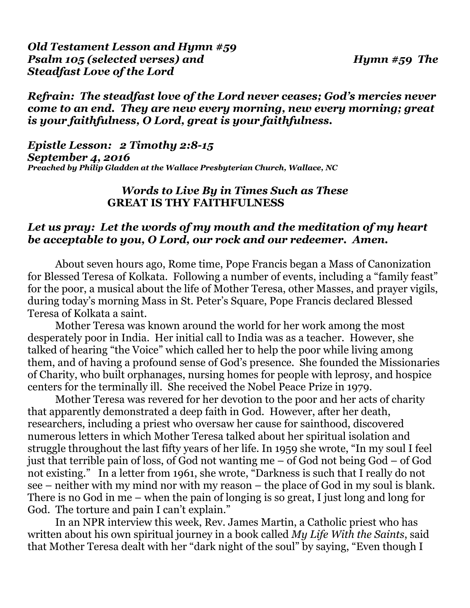## *Refrain: The steadfast love of the Lord never ceases; God's mercies never come to an end. They are new every morning, new every morning; great is your faithfulness, O Lord, great is your faithfulness.*

*Epistle Lesson: 2 Timothy 2:8-15 September 4, 2016 Preached by Philip Gladden at the Wallace Presbyterian Church, Wallace, NC* 

## *Words to Live By in Times Such as These* **GREAT IS THY FAITHFULNESS**

### *Let us pray: Let the words of my mouth and the meditation of my heart be acceptable to you, O Lord, our rock and our redeemer. Amen.*

About seven hours ago, Rome time, Pope Francis began a Mass of Canonization for Blessed Teresa of Kolkata. Following a number of events, including a "family feast" for the poor, a musical about the life of Mother Teresa, other Masses, and prayer vigils, during today's morning Mass in St. Peter's Square, Pope Francis declared Blessed Teresa of Kolkata a saint.

 Mother Teresa was known around the world for her work among the most desperately poor in India. Her initial call to India was as a teacher. However, she talked of hearing "the Voice" which called her to help the poor while living among them, and of having a profound sense of God's presence. She founded the Missionaries of Charity, who built orphanages, nursing homes for people with leprosy, and hospice centers for the terminally ill. She received the Nobel Peace Prize in 1979.

 Mother Teresa was revered for her devotion to the poor and her acts of charity that apparently demonstrated a deep faith in God. However, after her death, researchers, including a priest who oversaw her cause for sainthood, discovered numerous letters in which Mother Teresa talked about her spiritual isolation and struggle throughout the last fifty years of her life. In 1959 she wrote, "In my soul I feel just that terrible pain of loss, of God not wanting me – of God not being God – of God not existing." In a letter from 1961, she wrote, "Darkness is such that I really do not see – neither with my mind nor with my reason – the place of God in my soul is blank. There is no God in me – when the pain of longing is so great, I just long and long for God. The torture and pain I can't explain."

 In an NPR interview this week, Rev. James Martin, a Catholic priest who has written about his own spiritual journey in a book called *My Life With the Saints*, said that Mother Teresa dealt with her "dark night of the soul" by saying, "Even though I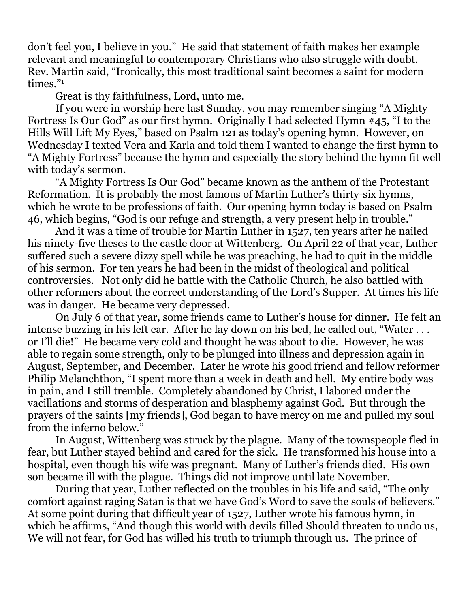don't feel you, I believe in you." He said that statement of faith makes her example relevant and meaningful to contemporary Christians who also struggle with doubt. Rev. Martin said, "Ironically, this most traditional saint becomes a saint for modern times."1

Great is thy faithfulness, Lord, unto me.

 If you were in worship here last Sunday, you may remember singing "A Mighty Fortress Is Our God" as our first hymn. Originally I had selected Hymn #45, "I to the Hills Will Lift My Eyes," based on Psalm 121 as today's opening hymn. However, on Wednesday I texted Vera and Karla and told them I wanted to change the first hymn to "A Mighty Fortress" because the hymn and especially the story behind the hymn fit well with today's sermon.

 "A Mighty Fortress Is Our God" became known as the anthem of the Protestant Reformation. It is probably the most famous of Martin Luther's thirty-six hymns, which he wrote to be professions of faith. Our opening hymn today is based on Psalm 46, which begins, "God is our refuge and strength, a very present help in trouble."

 And it was a time of trouble for Martin Luther in 1527, ten years after he nailed his ninety-five theses to the castle door at Wittenberg. On April 22 of that year, Luther suffered such a severe dizzy spell while he was preaching, he had to quit in the middle of his sermon. For ten years he had been in the midst of theological and political controversies. Not only did he battle with the Catholic Church, he also battled with other reformers about the correct understanding of the Lord's Supper. At times his life was in danger. He became very depressed.

 On July 6 of that year, some friends came to Luther's house for dinner. He felt an intense buzzing in his left ear. After he lay down on his bed, he called out, "Water . . . or I'll die!" He became very cold and thought he was about to die. However, he was able to regain some strength, only to be plunged into illness and depression again in August, September, and December. Later he wrote his good friend and fellow reformer Philip Melanchthon, "I spent more than a week in death and hell. My entire body was in pain, and I still tremble. Completely abandoned by Christ, I labored under the vacillations and storms of desperation and blasphemy against God. But through the prayers of the saints [my friends], God began to have mercy on me and pulled my soul from the inferno below."

 In August, Wittenberg was struck by the plague. Many of the townspeople fled in fear, but Luther stayed behind and cared for the sick. He transformed his house into a hospital, even though his wife was pregnant. Many of Luther's friends died. His own son became ill with the plague. Things did not improve until late November.

 During that year, Luther reflected on the troubles in his life and said, "The only comfort against raging Satan is that we have God's Word to save the souls of believers." At some point during that difficult year of 1527, Luther wrote his famous hymn, in which he affirms, "And though this world with devils filled Should threaten to undo us, We will not fear, for God has willed his truth to triumph through us. The prince of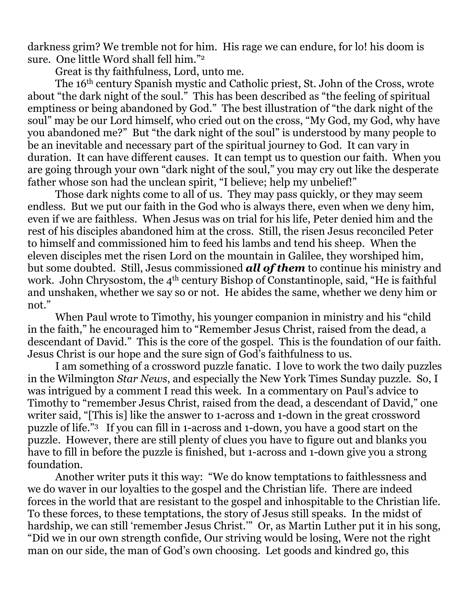darkness grim? We tremble not for him. His rage we can endure, for lo! his doom is sure. One little Word shall fell him."2

Great is thy faithfulness, Lord, unto me.

 The 16th century Spanish mystic and Catholic priest, St. John of the Cross, wrote about "the dark night of the soul." This has been described as "the feeling of spiritual emptiness or being abandoned by God." The best illustration of "the dark night of the soul" may be our Lord himself, who cried out on the cross, "My God, my God, why have you abandoned me?" But "the dark night of the soul" is understood by many people to be an inevitable and necessary part of the spiritual journey to God. It can vary in duration. It can have different causes. It can tempt us to question our faith. When you are going through your own "dark night of the soul," you may cry out like the desperate father whose son had the unclean spirit, "I believe; help my unbelief!"

 Those dark nights come to all of us. They may pass quickly, or they may seem endless. But we put our faith in the God who is always there, even when we deny him, even if we are faithless. When Jesus was on trial for his life, Peter denied him and the rest of his disciples abandoned him at the cross. Still, the risen Jesus reconciled Peter to himself and commissioned him to feed his lambs and tend his sheep. When the eleven disciples met the risen Lord on the mountain in Galilee, they worshiped him, but some doubted. Still, Jesus commissioned *all of them* to continue his ministry and work. John Chrysostom, the 4<sup>th</sup> century Bishop of Constantinople, said, "He is faithful and unshaken, whether we say so or not. He abides the same, whether we deny him or not."

 When Paul wrote to Timothy, his younger companion in ministry and his "child in the faith," he encouraged him to "Remember Jesus Christ, raised from the dead, a descendant of David." This is the core of the gospel. This is the foundation of our faith. Jesus Christ is our hope and the sure sign of God's faithfulness to us.

 I am something of a crossword puzzle fanatic. I love to work the two daily puzzles in the Wilmington *Star News*, and especially the New York Times Sunday puzzle. So, I was intrigued by a comment I read this week. In a commentary on Paul's advice to Timothy to "remember Jesus Christ, raised from the dead, a descendant of David," one writer said, "[This is] like the answer to 1-across and 1-down in the great crossword puzzle of life."3 If you can fill in 1-across and 1-down, you have a good start on the puzzle. However, there are still plenty of clues you have to figure out and blanks you have to fill in before the puzzle is finished, but 1-across and 1-down give you a strong foundation.

 Another writer puts it this way: "We do know temptations to faithlessness and we do waver in our loyalties to the gospel and the Christian life. There are indeed forces in the world that are resistant to the gospel and inhospitable to the Christian life. To these forces, to these temptations, the story of Jesus still speaks. In the midst of hardship, we can still 'remember Jesus Christ.'" Or, as Martin Luther put it in his song, "Did we in our own strength confide, Our striving would be losing, Were not the right man on our side, the man of God's own choosing. Let goods and kindred go, this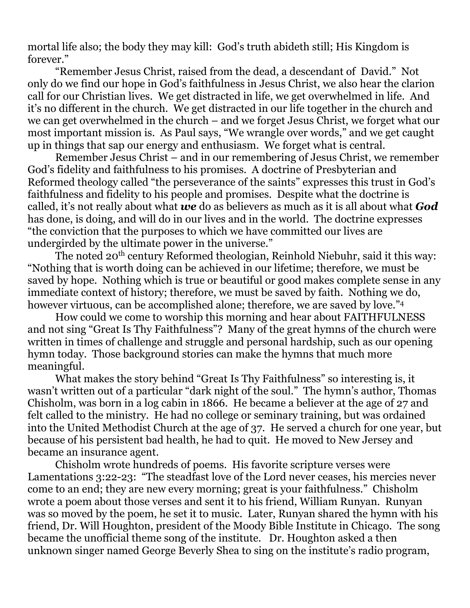mortal life also; the body they may kill: God's truth abideth still; His Kingdom is forever."

 "Remember Jesus Christ, raised from the dead, a descendant of David." Not only do we find our hope in God's faithfulness in Jesus Christ, we also hear the clarion call for our Christian lives. We get distracted in life, we get overwhelmed in life. And it's no different in the church. We get distracted in our life together in the church and we can get overwhelmed in the church – and we forget Jesus Christ, we forget what our most important mission is. As Paul says, "We wrangle over words," and we get caught up in things that sap our energy and enthusiasm. We forget what is central.

 Remember Jesus Christ – and in our remembering of Jesus Christ, we remember God's fidelity and faithfulness to his promises. A doctrine of Presbyterian and Reformed theology called "the perseverance of the saints" expresses this trust in God's faithfulness and fidelity to his people and promises. Despite what the doctrine is called, it's not really about what *we* do as believers as much as it is all about what *God*  has done, is doing, and will do in our lives and in the world. The doctrine expresses "the conviction that the purposes to which we have committed our lives are undergirded by the ultimate power in the universe."

The noted 20<sup>th</sup> century Reformed theologian, Reinhold Niebuhr, said it this way: "Nothing that is worth doing can be achieved in our lifetime; therefore, we must be saved by hope. Nothing which is true or beautiful or good makes complete sense in any immediate context of history; therefore, we must be saved by faith. Nothing we do, however virtuous, can be accomplished alone; therefore, we are saved by love."<sup>4</sup>

 How could we come to worship this morning and hear about FAITHFULNESS and not sing "Great Is Thy Faithfulness"? Many of the great hymns of the church were written in times of challenge and struggle and personal hardship, such as our opening hymn today. Those background stories can make the hymns that much more meaningful.

 What makes the story behind "Great Is Thy Faithfulness" so interesting is, it wasn't written out of a particular "dark night of the soul." The hymn's author, Thomas Chisholm, was born in a log cabin in 1866. He became a believer at the age of 27 and felt called to the ministry. He had no college or seminary training, but was ordained into the United Methodist Church at the age of 37. He served a church for one year, but because of his persistent bad health, he had to quit. He moved to New Jersey and became an insurance agent.

 Chisholm wrote hundreds of poems. His favorite scripture verses were Lamentations 3:22-23: "The steadfast love of the Lord never ceases, his mercies never come to an end; they are new every morning; great is your faithfulness." Chisholm wrote a poem about those verses and sent it to his friend, William Runyan. Runyan was so moved by the poem, he set it to music. Later, Runyan shared the hymn with his friend, Dr. Will Houghton, president of the Moody Bible Institute in Chicago. The song became the unofficial theme song of the institute. Dr. Houghton asked a then unknown singer named George Beverly Shea to sing on the institute's radio program,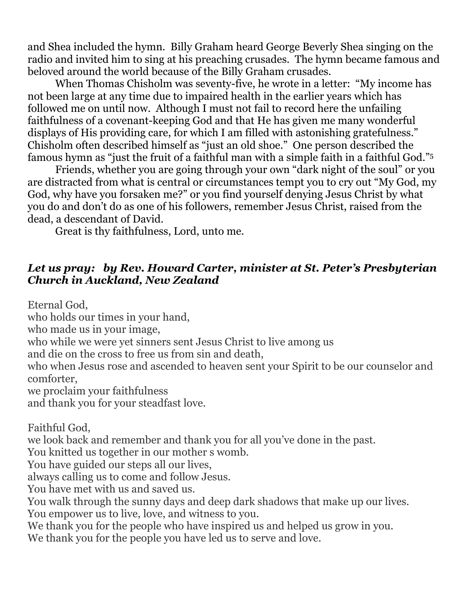and Shea included the hymn. Billy Graham heard George Beverly Shea singing on the radio and invited him to sing at his preaching crusades. The hymn became famous and beloved around the world because of the Billy Graham crusades.

 When Thomas Chisholm was seventy-five, he wrote in a letter: "My income has not been large at any time due to impaired health in the earlier years which has followed me on until now. Although I must not fail to record here the unfailing faithfulness of a covenant-keeping God and that He has given me many wonderful displays of His providing care, for which I am filled with astonishing gratefulness." Chisholm often described himself as "just an old shoe." One person described the famous hymn as "just the fruit of a faithful man with a simple faith in a faithful God."5

 Friends, whether you are going through your own "dark night of the soul" or you are distracted from what is central or circumstances tempt you to cry out "My God, my God, why have you forsaken me?" or you find yourself denying Jesus Christ by what you do and don't do as one of his followers, remember Jesus Christ, raised from the dead, a descendant of David.

Great is thy faithfulness, Lord, unto me.

# *Let us pray: by Rev. Howard Carter, minister at St. Peter's Presbyterian Church in Auckland, New Zealand*

Eternal God,

who holds our times in your hand,

who made us in your image,

who while we were yet sinners sent Jesus Christ to live among us

and die on the cross to free us from sin and death,

who when Jesus rose and ascended to heaven sent your Spirit to be our counselor and comforter,

we proclaim your faithfulness

and thank you for your steadfast love.

Faithful God,

we look back and remember and thank you for all you've done in the past.

You knitted us together in our mother s womb.

You have guided our steps all our lives,

always calling us to come and follow Jesus.

You have met with us and saved us.

You walk through the sunny days and deep dark shadows that make up our lives. You empower us to live, love, and witness to you.

We thank you for the people who have inspired us and helped us grow in you.

We thank you for the people you have led us to serve and love.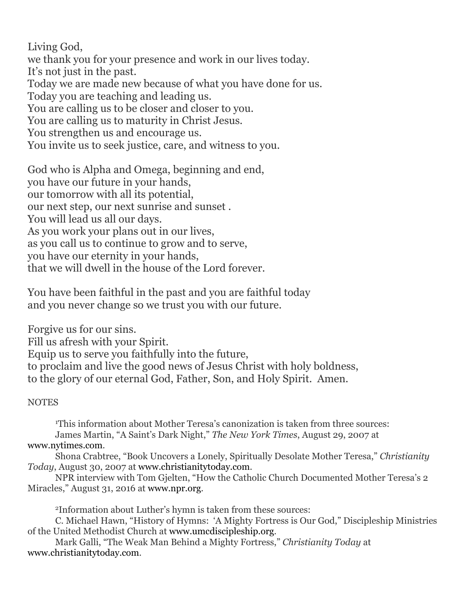Living God, we thank you for your presence and work in our lives today. It's not just in the past. Today we are made new because of what you have done for us. Today you are teaching and leading us. You are calling us to be closer and closer to you. You are calling us to maturity in Christ Jesus. You strengthen us and encourage us. You invite us to seek justice, care, and witness to you.

God who is Alpha and Omega, beginning and end, you have our future in your hands, our tomorrow with all its potential, our next step, our next sunrise and sunset . You will lead us all our days. As you work your plans out in our lives, as you call us to continue to grow and to serve, you have our eternity in your hands, that we will dwell in the house of the Lord forever.

You have been faithful in the past and you are faithful today and you never change so we trust you with our future.

Forgive us for our sins. Fill us afresh with your Spirit. Equip us to serve you faithfully into the future, to proclaim and live the good news of Jesus Christ with holy boldness, to the glory of our eternal God, Father, Son, and Holy Spirit. Amen.

#### **NOTES**

1 This information about Mother Teresa's canonization is taken from three sources: James Martin, "A Saint's Dark Night," *The New York Times*, August 29, 2007 at [www.nytimes.com.](http://www.nytimes.com)

 Shona Crabtree, "Book Uncovers a Lonely, Spiritually Desolate Mother Teresa," *Christianity Today*, August 30, 2007 at [www.christianitytoday.com.](http://www.christianitytoday.com)

 NPR interview with Tom Gjelten, "How the Catholic Church Documented Mother Teresa's 2 Miracles," August 31, 2016 at [www.npr.org.](http://www.npr.org)

2Information about Luther's hymn is taken from these sources:

 C. Michael Hawn, "History of Hymns: 'A Mighty Fortress is Our God," Discipleship Ministries of the United Methodist Church at [www.umcdiscipleship.org](http://www.umcdiscipleship.org).

 Mark Galli, "The Weak Man Behind a Mighty Fortress," *Christianity Today* at [www.christianitytoday.com](http://www.christianitytoday.com).